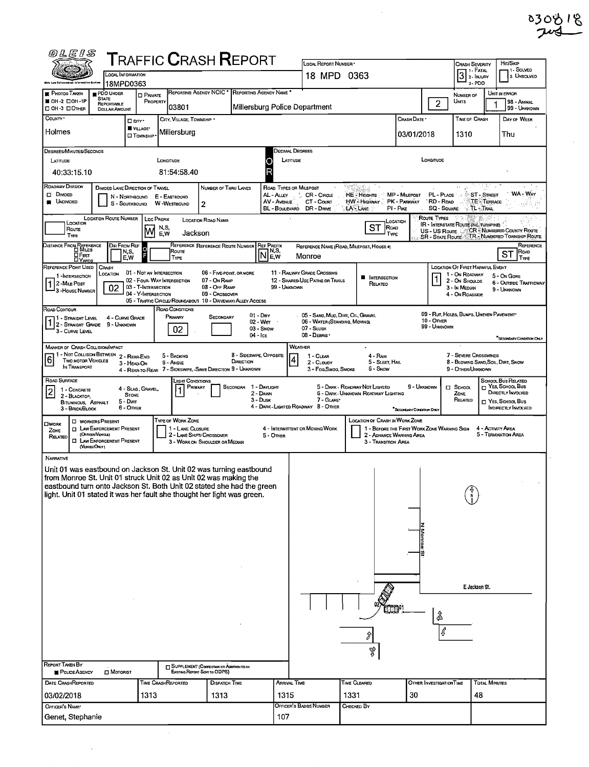| ०३०७ । ९ |  |
|----------|--|
| 74       |  |

ł,

| <i>@LEIS</i>                                                                                                                                                                                                         |                                                                                                                                                     |                                |                                              | ${\sf T}$ RAFFIC ${\sf C}$ RASH ${\sf R}$ EPORT                             |                                          |                                             | LOCAL REPORT NUMBER *                                                         |                                               |                                             |                                              |                                                                                  | Hrt/Skip                                                    |  |  |  |
|----------------------------------------------------------------------------------------------------------------------------------------------------------------------------------------------------------------------|-----------------------------------------------------------------------------------------------------------------------------------------------------|--------------------------------|----------------------------------------------|-----------------------------------------------------------------------------|------------------------------------------|---------------------------------------------|-------------------------------------------------------------------------------|-----------------------------------------------|---------------------------------------------|----------------------------------------------|----------------------------------------------------------------------------------|-------------------------------------------------------------|--|--|--|
|                                                                                                                                                                                                                      | LOCAL INFORMATION                                                                                                                                   |                                |                                              |                                                                             |                                          |                                             | <b>CRASH SEVERITY</b><br>$\overline{3}$ $\overline{?}$ - Fatal<br>18 MPD 0363 |                                               |                                             |                                              |                                                                                  |                                                             |  |  |  |
|                                                                                                                                                                                                                      | 18MPD0363                                                                                                                                           |                                |                                              |                                                                             |                                          |                                             | 2. UNSOLVED<br>3-PDO                                                          |                                               |                                             |                                              |                                                                                  |                                                             |  |  |  |
| <b>PHOTOS TAKEN</b><br>■ ОН-2 □ ОН-1Р                                                                                                                                                                                | PDO UNDER<br><b>STATE</b><br><b>REPORTABLE</b>                                                                                                      | <b>D</b> PRIVATE<br>PROPERTY   | <b>REPORTING AGENCY NCIC</b><br>03801        |                                                                             | REPORTING AGENCY NAME                    |                                             |                                                                               | $\overline{2}$<br>Units                       | NUMBER OF                                   | UNIT IN ERROR<br>98 - ANIMAL<br>99 - UNKNOWN |                                                                                  |                                                             |  |  |  |
| OH-3 DOTHER<br>COUNTY *                                                                                                                                                                                              | Millersburg Police Department<br><b>DOLLAR AMOUNT</b><br>CRASH DATE *<br><b>TIME OF CRASH</b><br>CITY, VILLAGE, TOWNSHIP *<br>DAY OF WEEK<br>□ orv· |                                |                                              |                                                                             |                                          |                                             |                                                                               |                                               |                                             |                                              |                                                                                  |                                                             |  |  |  |
| Holmes                                                                                                                                                                                                               |                                                                                                                                                     | VILLAGE*<br><b>O</b> TOWNSHIP  | Millersburg                                  |                                                                             |                                          |                                             |                                                                               |                                               | 03/01/2018                                  |                                              | 1310                                                                             | Thu                                                         |  |  |  |
| <b>DEGREES/MINUTES/SECONDS</b>                                                                                                                                                                                       |                                                                                                                                                     |                                |                                              |                                                                             |                                          | DECIMAL DEGREES                             |                                                                               |                                               |                                             |                                              |                                                                                  |                                                             |  |  |  |
| LATITUDE<br>40:33:15.10                                                                                                                                                                                              |                                                                                                                                                     |                                | LONGITUDE<br>81:54:58.40                     |                                                                             |                                          | LATITUDE                                    |                                                                               |                                               | LONGITUDE                                   |                                              |                                                                                  |                                                             |  |  |  |
| ROADWAY DIVISION                                                                                                                                                                                                     | DIVIDED LANE DIRECTION OF TRAVEL                                                                                                                    |                                |                                              | NUMBER OF THRU LANES                                                        |                                          | ROAD TYPES OR MILEPOST                      |                                                                               |                                               |                                             |                                              |                                                                                  |                                                             |  |  |  |
| $\square$ Divided<br><b>UNDIVIDED</b>                                                                                                                                                                                | s                                                                                                                                                   | N - Northbound<br>- Southbound | E - EASTBDUND<br>W - WESTBOUND               | 2                                                                           |                                          | AL - ALLEY<br>AV - AVENUE<br>BL - BOULEVARD | CR - Cincle<br>CT - Count<br>DR - DRIVE                                       | <b>HE-Heights</b><br>HW-Highway<br>LA - LANE  | MP - MILEPOST<br>PK - PARKWAY<br>PI-PIKE    | PL - PLACE<br><b>RD - Roo</b><br>SQ - SQUARE | ST-STREET<br><b>TE-TERRACE</b><br>$\sqrt{1}$ Trail                               | WA - WAY<br>岩岩岩 旅                                           |  |  |  |
| ROUTE TYPES<br>LOCATION ROUTE NUMBER<br>Loc PREFIX<br>LOCATION ROAD NAME<br>Location<br>LOCATION<br><b>IR - INTERSTATE ROUTE (INC. TURNPIKE)</b><br>ST<br>Road<br>N,S,<br>Route<br><b>CR</b> - NUMBERED COUNTY ROUTE |                                                                                                                                                     |                                |                                              |                                                                             |                                          |                                             |                                                                               |                                               |                                             |                                              |                                                                                  |                                                             |  |  |  |
| TYPE                                                                                                                                                                                                                 |                                                                                                                                                     | M                              | Jackson<br>E.W                               |                                                                             |                                          | <b>REF PREFIX</b>                           |                                                                               | TYPE                                          |                                             | US-US Route                                  |                                                                                  | SR - STATE ROUTE TR - NUMBERED TOWNSHIP ROUTE<br>REFERENCE  |  |  |  |
| DISTANCE FROM REFERENCE<br>O MILES<br><b>OFEET</b><br><b>LIYARDS</b>                                                                                                                                                 | <b>DIR FROM REF</b>                                                                                                                                 | $\circ$<br>N,S,<br>E,W         | Route<br>TYPE                                | REFERENCE REFERENCE ROUTE NUMBER                                            | $\textsf{IN}^{\textsf{NS}}_{\textsf{F}}$ |                                             | Monroe                                                                        | REFERENCE NAME (ROAD, MILEPOST, HOUSE #)      |                                             |                                              |                                                                                  | ROAD<br>ST<br>TYPE                                          |  |  |  |
| REFERENCE POINT USED                                                                                                                                                                                                 | CRASH<br>LOCATION                                                                                                                                   | 01 - NOT AN INTERSECTION       |                                              | 06 - FIVE-POINT, OR MORE                                                    |                                          |                                             | 11 - RAILWAY GRADE CROSSING                                                   |                                               |                                             |                                              | <b>LOCATION OF FIRST HARMFUL EVENT</b><br>1 - On ROADWAY                         |                                                             |  |  |  |
| 1-INTERSECTION<br>2 - MILE POST                                                                                                                                                                                      | 02                                                                                                                                                  | 03 - T-INTERSECTION            | 02 - FOUR-WAY INTERSECTION                   | 07 - On RAMP<br>08 - Off RAMP                                               |                                          | 99 - UNKNOWN                                | 12 - SHARED-USE PATHS OR TRAILS                                               | <b>N</b> INTERSECTION<br>RELATEO              |                                             | 3 - In Median                                | 2 - ON SHOULDE                                                                   | 5 - On GORE<br><b>6 - OUTSIDE TRAFFICWAY</b><br>9 - UNKNOWN |  |  |  |
| 3 - House Number                                                                                                                                                                                                     |                                                                                                                                                     | 04 - Y-INTERSECTION            |                                              | 09 - Crossover<br>05 - Traffic Circle/Roundabout 10 - Driveway/Alley Access |                                          |                                             |                                                                               |                                               |                                             |                                              | 4 - ON ROADSIDE                                                                  |                                                             |  |  |  |
| ROAD CONTOUR<br>  1 - Straght Level                                                                                                                                                                                  | 4 - CURVE GRADE                                                                                                                                     |                                | ROAD CONDITIONS<br>Primary                   | SECONDARY                                                                   | $01 - Draw$                              |                                             | 05 - SAND, MUD, DIRT, OIL, GRAVEL                                             |                                               |                                             |                                              | 09 - Rut Holes, Bulles, Uneven Pavement*                                         |                                                             |  |  |  |
| 2 - STRAIGHT GRADE 9 - UNKNOWN<br>3 - CURVE LEVEL                                                                                                                                                                    |                                                                                                                                                     |                                | 02                                           |                                                                             | 02 - Wer<br>03 - Snow<br>04 - Ice        |                                             | 06 - WATER (STANDING, MOVING)<br>$07 - S$ LUSH<br>08 - DEBRIS                 |                                               |                                             | 10 - OTHER<br>99 - Unknown                   |                                                                                  | SECONDARY CONDITION ONLY                                    |  |  |  |
| MANNER OF CRASH COLLISION/IMPACT                                                                                                                                                                                     |                                                                                                                                                     |                                |                                              |                                                                             |                                          | WEATHER                                     |                                                                               |                                               |                                             |                                              |                                                                                  |                                                             |  |  |  |
| 1 - Not Collision BETWEEN<br>6<br>TWO MOTOR VEHICLES<br>In Transport                                                                                                                                                 |                                                                                                                                                     | 2 - REAR-END<br>3 - HEAD ON    | 5 - BACKING<br>6 - Angle                     | 4 - REAR-TO-REAR 7 - SIDESWIPE, -SAME DIRECTION 9 - UNKNOWN                 | 8 - SIDESWIPE, OPPOSITE<br>DIRECTION     | $\vert 4 \vert$                             | 1 - CLEAR<br>2 - CLOUDY<br>3 - Fog Smog, Smoke                                | 4 - RAIN<br>5 - SLEET, HAIL<br>6 - Snow       |                                             |                                              | 7 - SEVERE CROSSWINDS<br>8 - BLOWING SAND, SOIL, DIRT, SNOW<br>9 - OTHER/UNKNOWN |                                                             |  |  |  |
| ROAD SURFACE                                                                                                                                                                                                         |                                                                                                                                                     | 4 - Slag, Gravel,              | LIGHT CONDITIONS<br>PRIMARY                  | <b>SECONDAR</b>                                                             | 1 - Daylight                             |                                             |                                                                               | 5 - DARK - ROADWAY NOT LIGHTED                | 9 - Unknown                                 | $\Box$ School                                |                                                                                  | SCHOOL BUS RELATED<br>NES, SCHOOL BUS                       |  |  |  |
| 1 - CONCRETE<br> 2 <br>2 - BLACKTOP,<br><b>BITUMINOUS, ASPHALT</b>                                                                                                                                                   |                                                                                                                                                     | <b>STONE</b><br>5 - Dırr       |                                              |                                                                             | 2 - DAWN<br>3 - Dusk                     |                                             | 7 - GLARE*                                                                    | 6 - Dark - Unknown Roadway Lighting           |                                             | ZONE                                         | RELATED                                                                          | DIRECTLY INVOLVED<br>$\Box$ Yes, School, Bus                |  |  |  |
| 3 - BRICK BLOCK                                                                                                                                                                                                      |                                                                                                                                                     | 6 - Other                      |                                              |                                                                             |                                          |                                             | 4 - DARK - LIGHTED ROADWAY 8 - OTHER                                          |                                               | <sup>*</sup> SECONDARY CONDITION ONLY       |                                              |                                                                                  | INDIRECTLY INVOLVED                                         |  |  |  |
| $\square$ WORK<br>ZONE                                                                                                                                                                                               | <b>NORKERS PRESENT</b><br><b>D</b> LAW ENFORCEMENT PRESENT                                                                                          |                                | <b>TYPE OF WORK ZONE</b><br>1 - LANE CLOSURE |                                                                             |                                          |                                             | 4 - INTERMITTENT OR MOVING WORK                                               | LOCATION OF CRASH IN WORK ZONE                | 1 - BEFORE THE FIRST WORK ZONE WARNING SIGN |                                              | 4 - Activity Area                                                                |                                                             |  |  |  |
| RELATED                                                                                                                                                                                                              | (OFFICER/VEHICLE)<br><b>EL LAW ENFORCEMENT PRESENT</b><br>(VEHILEONLY)                                                                              |                                | 2 - LANE SHIFT/ CROSSOVER                    | 3 - WORK ON SHOULDER OR MEDIAN                                              |                                          | 5 - OTHER                                   |                                                                               | 2 - ADVANCE WARNING AREA<br>3 - Transmon Area |                                             |                                              |                                                                                  | 5 - TERMINATION AREA                                        |  |  |  |
| NARRATIVE                                                                                                                                                                                                            |                                                                                                                                                     |                                |                                              |                                                                             |                                          |                                             |                                                                               |                                               |                                             |                                              |                                                                                  |                                                             |  |  |  |
| Unit 01 was eastbound on Jackson St. Unit 02 was turning eastbound<br>from Monroe St. Unit 01 struck Unit 02 as Unit 02 was making the                                                                               |                                                                                                                                                     |                                |                                              |                                                                             |                                          |                                             |                                                                               |                                               |                                             |                                              |                                                                                  |                                                             |  |  |  |
| eastbound turn onto Jackson St. Both Unit 02 stated she had the green<br>light. Unit 01 stated it was her fault she thought her light was green.                                                                     |                                                                                                                                                     |                                |                                              |                                                                             |                                          |                                             |                                                                               |                                               |                                             |                                              |                                                                                  |                                                             |  |  |  |
|                                                                                                                                                                                                                      |                                                                                                                                                     |                                |                                              |                                                                             |                                          |                                             |                                                                               |                                               |                                             |                                              |                                                                                  |                                                             |  |  |  |
|                                                                                                                                                                                                                      |                                                                                                                                                     |                                |                                              |                                                                             |                                          |                                             |                                                                               |                                               |                                             |                                              |                                                                                  |                                                             |  |  |  |
|                                                                                                                                                                                                                      |                                                                                                                                                     |                                |                                              |                                                                             |                                          |                                             |                                                                               |                                               |                                             |                                              |                                                                                  |                                                             |  |  |  |
|                                                                                                                                                                                                                      |                                                                                                                                                     |                                |                                              |                                                                             |                                          |                                             |                                                                               |                                               |                                             |                                              |                                                                                  |                                                             |  |  |  |
|                                                                                                                                                                                                                      |                                                                                                                                                     |                                |                                              |                                                                             |                                          |                                             |                                                                               |                                               |                                             |                                              |                                                                                  |                                                             |  |  |  |
|                                                                                                                                                                                                                      |                                                                                                                                                     |                                |                                              |                                                                             |                                          |                                             |                                                                               |                                               |                                             |                                              |                                                                                  |                                                             |  |  |  |
|                                                                                                                                                                                                                      |                                                                                                                                                     |                                |                                              |                                                                             |                                          |                                             |                                                                               |                                               |                                             |                                              | E. Jackson St.                                                                   |                                                             |  |  |  |
|                                                                                                                                                                                                                      |                                                                                                                                                     |                                |                                              |                                                                             |                                          |                                             |                                                                               |                                               |                                             |                                              |                                                                                  |                                                             |  |  |  |
|                                                                                                                                                                                                                      |                                                                                                                                                     |                                |                                              |                                                                             |                                          |                                             |                                                                               |                                               | TT101                                       | €                                            |                                                                                  |                                                             |  |  |  |
|                                                                                                                                                                                                                      |                                                                                                                                                     |                                |                                              |                                                                             |                                          |                                             |                                                                               |                                               |                                             |                                              |                                                                                  |                                                             |  |  |  |
|                                                                                                                                                                                                                      |                                                                                                                                                     |                                |                                              |                                                                             |                                          |                                             |                                                                               |                                               |                                             |                                              |                                                                                  |                                                             |  |  |  |
|                                                                                                                                                                                                                      |                                                                                                                                                     |                                |                                              |                                                                             |                                          |                                             |                                                                               | Ą,                                            |                                             |                                              |                                                                                  |                                                             |  |  |  |
| <b>REPORT TAKEN BY</b><br>POLICE AGENCY                                                                                                                                                                              | $\Box$ MOTORIST                                                                                                                                     |                                |                                              | SUPPLEMENT (CORRECTION OR ADDITION TO AN<br>EXISTING REPORT SENT TO ODPS)   |                                          |                                             |                                                                               |                                               |                                             |                                              |                                                                                  |                                                             |  |  |  |
| <b>DATE CRASHREPORTED</b>                                                                                                                                                                                            |                                                                                                                                                     |                                | <b>TIME CRASHREPORTED</b>                    | DISPATCH TIME                                                               |                                          | <b>ARRIVAL TIME</b>                         |                                                                               | <b>TIME CLEARED</b>                           |                                             | OTHER INVESTIGATION TIME                     | <b>TOTAL MINUTES</b>                                                             |                                                             |  |  |  |
| 03/02/2018                                                                                                                                                                                                           |                                                                                                                                                     | 1313                           |                                              | 1313                                                                        |                                          | 1315                                        |                                                                               | 1331                                          | 30                                          |                                              | 48                                                                               |                                                             |  |  |  |
| OFFICER'S NAME*<br>Genet, Stephanie                                                                                                                                                                                  |                                                                                                                                                     |                                |                                              |                                                                             |                                          | 107                                         | Officer's Badge Number                                                        | Снескер Вү                                    |                                             |                                              |                                                                                  |                                                             |  |  |  |
|                                                                                                                                                                                                                      |                                                                                                                                                     |                                |                                              |                                                                             |                                          |                                             |                                                                               |                                               |                                             |                                              |                                                                                  |                                                             |  |  |  |

 $\frac{1}{\sqrt{2}}$ 

 $\ddot{\phantom{a}}$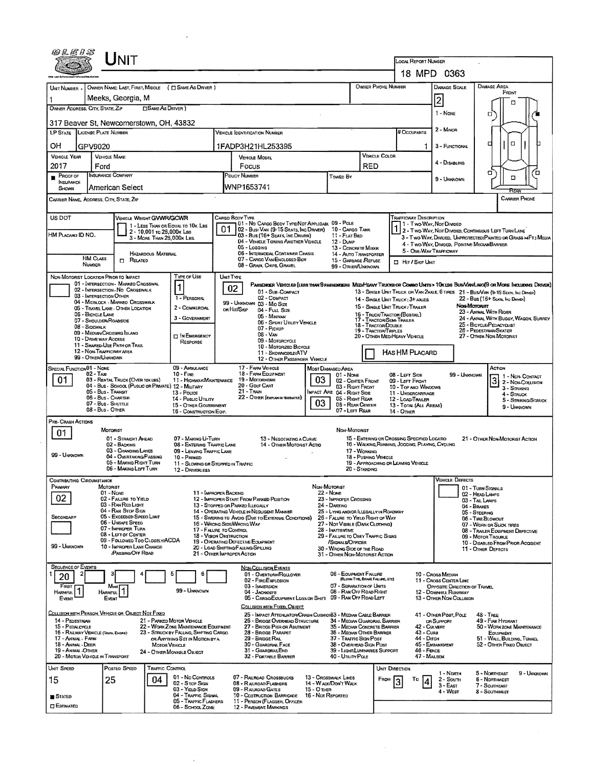| 69 L E H S                                                                                    |                                                                                                                                                            |                                                                       |                                                                                    |                                                         |                                                                   |  |  |  |  |
|-----------------------------------------------------------------------------------------------|------------------------------------------------------------------------------------------------------------------------------------------------------------|-----------------------------------------------------------------------|------------------------------------------------------------------------------------|---------------------------------------------------------|-------------------------------------------------------------------|--|--|--|--|
| $\sf J$ NIT                                                                                   |                                                                                                                                                            | LOCAL REPORT NUMBER<br>18 MPD 0363                                    |                                                                                    |                                                         |                                                                   |  |  |  |  |
|                                                                                               |                                                                                                                                                            |                                                                       |                                                                                    |                                                         |                                                                   |  |  |  |  |
| OWNER NAME: LAST, FIRST, MIDDLE ( T) SAME AS DRIVER )<br>UNIT NUMBER -                        |                                                                                                                                                            |                                                                       | OWNER PHONE NUMBER                                                                 | DAMAGE SCALE                                            | DAMAGE AREA<br>FRONT                                              |  |  |  |  |
| Meeks, Georgia, M<br>1<br>OWNER ADDRESS: CITY, STATE, ZIP<br><b>CISAME AS DRIVER</b> )        |                                                                                                                                                            |                                                                       |                                                                                    | $\overline{2}$                                          |                                                                   |  |  |  |  |
|                                                                                               |                                                                                                                                                            |                                                                       |                                                                                    | 1 - NONE                                                | O                                                                 |  |  |  |  |
| 317 Beaver St. Newcomerstown, OH, 43832<br><b>LP STATE LICENSE PLATE NUMBER</b>               | Vehicle Identification Number                                                                                                                              |                                                                       | # Occupants                                                                        | 2 - MINOR                                               |                                                                   |  |  |  |  |
| OН                                                                                            |                                                                                                                                                            |                                                                       |                                                                                    |                                                         | Ω.<br>¤                                                           |  |  |  |  |
| GPV9020<br><b>VEHICLE YEAR</b><br><b>VEHICLE MAKE</b>                                         | 1FADP3H21HL253395<br><b>VEHICLE MODEL</b>                                                                                                                  |                                                                       | <b>VEHICLE COLOR</b>                                                               | 1.<br>3 - FUNCTIONAL                                    |                                                                   |  |  |  |  |
| 2017<br>Ford                                                                                  | Focus                                                                                                                                                      | <b>RED</b>                                                            |                                                                                    | 4 - DISABLING                                           |                                                                   |  |  |  |  |
| <b>INSURANCE COMPANY</b><br><b>PROOF OF</b><br><b>INSURANCE</b>                               | POLICY NUMBER                                                                                                                                              | Toweo By                                                              |                                                                                    | 9 - Unknown                                             | α<br>Έ<br>α                                                       |  |  |  |  |
| American Select<br>SHOWN                                                                      | WNP1653741                                                                                                                                                 |                                                                       |                                                                                    |                                                         |                                                                   |  |  |  |  |
| CARRIER NAME, ADDRESS, CITY, STATE, ZIP                                                       |                                                                                                                                                            |                                                                       |                                                                                    |                                                         | <b>CARRIER PHONE</b>                                              |  |  |  |  |
| US DOT<br><b>VEHICLE WEIGHT GVWR/GCWR</b>                                                     | CARGO BOOY TYPE                                                                                                                                            |                                                                       | TRAFFICWAY DESCRIPTION                                                             |                                                         |                                                                   |  |  |  |  |
| 1 - LESS THAN OR EQUAL TO 10K LBS                                                             | 01 - No CARGO BODY TYPE/NOT APPLICABL 09 - POLE<br>01<br>02 - Bus/VAN (9-15 SEATS, INC DRIVER) 10 - CARGO TANK                                             |                                                                       | 1 - Two-Way, Nor Divideo                                                           | 2 - Two-Way, Not Divided, Continuous Left Turn Lane     |                                                                   |  |  |  |  |
| 2 - 10,001 To 26,000K LBS<br>HM PLACARO ID NO.<br>3 - MORE THAN 26,000K LBS.                  | 03 - Bus (16+ SEATS, INC DRIVER)<br>04 - VEHICLE TOWING ANOTHER VEHICLE                                                                                    | 11 - FLAT BED<br>12 - Dunp                                            |                                                                                    |                                                         | 3 - Two-Way, Divided, UNPROTECTED (PAINTED OR GRASS >4FT.) MEDIA  |  |  |  |  |
| <b>HAZARDOUS MATERIAL</b>                                                                     | 05 - Logging<br>06 - INTERMODAL CONTAINER CHASIS                                                                                                           | 13 - CONCRETE MIXER<br>14 - AUTO TRANSPORTER                          | 5 - ONE-WAY TRAFFICWAY                                                             | 4 - Two-Way, Divided, Positive Median Barrier           |                                                                   |  |  |  |  |
| <b>HM CLASS</b><br><b>D</b> RELATED<br>NUMBER                                                 | 07 - CARGO VAN ENCLOSED BOX<br>08 - GRAIN, CHIPS, GRAVEL                                                                                                   | 15 - GARBAGE REFUSE<br>99 - OTHER/UNKNOWN                             | <b>D</b> Hit / Skip Unit                                                           |                                                         |                                                                   |  |  |  |  |
| NON-MOTORIST LOCATION PRIOR TO IMPACT                                                         | <b>TYPE OF USE</b><br>UNIT TYPE                                                                                                                            |                                                                       |                                                                                    |                                                         |                                                                   |  |  |  |  |
| 01 - INTERSECTION - MARKEO CROSSWAL<br>02 - INTERSECTION - NO CROSSWALK                       | PASSENGER VENICLES (LESS THAN 9 PASSENGERS MED/HEAVY TRUCKS OR COMSO UNITS > 10K LES BUS/VAMUMO(9 OR MORE INCLUDING DRIVER)<br>1<br>02<br>01 - Sub-COMPACT |                                                                       | 13 - SINGLE UNIT TRUCK OR VAN ZAXLE, 6 TIRES 21 - BUS/VAN (9-15 SEATS, INC DRIVER) |                                                         |                                                                   |  |  |  |  |
| 03 - INTERSECTION OTHER<br>04 - MIDBLOCK MARKED CROSSWALK                                     | 02 - COMPACT<br>1 - PERSONAL<br>99 - UNKNOWN 03 - Mio Size                                                                                                 |                                                                       | 14 - SINGLE UNIT TRUCK: 3+ AXLES                                                   |                                                         | 22 - Bus (16+ Seats, Inc Driver)                                  |  |  |  |  |
| 05 - TRAVEL LANE - OTHER LOCATION<br>06 - BICYCLE LANE                                        | 2 - COMMERCIAL<br>OR HIT/SKIP<br>04 - Full Size<br>05 - Minivan                                                                                            |                                                                       | 15 - SINGLE UNIT TRUCK / TRAILER<br>16 - TRUCK/TRACTOR (BOBTAIL)                   | Nou-Moronist                                            | 23 - ANIMAL WITH RIDER                                            |  |  |  |  |
| 07 - SHOULDER/ROADSIDE<br>08 - Sidewalk                                                       | 3 - GOVERNMENT<br>06 - SPORT UTILITY VEHICLE<br>07 - Pickup                                                                                                |                                                                       | 17 - TRACTOR/SEMI-TRAILER<br>18 - TRACTOR/DOUBLE                                   |                                                         | 24 - ANIMAL WITH BUGGY, WAGON, SURREY<br>25 - BICYCLE/PEDACYCLIST |  |  |  |  |
| 09 - MEDIAN/CROSSING ISLAND<br>10 - DRIVE WAY ACCESS                                          | 08 - Van<br><b>DIN EMERGENCY</b><br>09 - MOTORCYCLE                                                                                                        |                                                                       | 19 - TRACTOR/TRIPLES<br>20 - OTHER MEDIHEAVY VEHICLE                               | 26 - PEDESTRIAN/SKATER<br>27 - OTHER NON-MOTORIST       |                                                                   |  |  |  |  |
| 11 - SHARED-USE PATH OR TRAIL<br>12 - NON-TRAFFICWAY AREA                                     | RESPONSE<br>10 - MOTORIZED BICYCLE<br>11 - SNDWMOBILE/ATV                                                                                                  |                                                                       |                                                                                    | HAS HM PLACARD                                          |                                                                   |  |  |  |  |
| 99 - OTHER/UNXNOWN                                                                            | 12 - OTHER PASSENGER VEHICLE                                                                                                                               |                                                                       |                                                                                    |                                                         |                                                                   |  |  |  |  |
| SPECIAL FUNCTION 01 - NONE<br>02 - Tax                                                        | 17 - FARM VEHICLE<br>09 - AMBULANCE<br>18 - FARM EQUIPMENT<br>10 - FIRE                                                                                    | MOST DAMAGED AREA<br>01 - Nove                                        | 08 - LEFT SIDE                                                                     | 99 - Unknown                                            | ACTION<br>1 1 - Non-Contact                                       |  |  |  |  |
| 01.<br>03 - RENTAL TRUCK (OVER 10KLBS)<br>04 - Bus - School (Public or Private) 12 - Military | 19 - Мотояноме<br>11 - HIGHWAY/MAINTENANCE<br>20 - GOLF CART                                                                                               | 03<br>02 - CENTER FRONT<br>03 - Right Front                           | 09 - LEFT FRONT<br>10 - Top and Windows                                            |                                                         | 3 - NON-CONTACT<br>$3 -$ Striking                                 |  |  |  |  |
| 05 - Bus Transit<br><b>06 - Bus - CHARTER</b>                                                 | 21 - Train<br>13 - Pouce<br>22 - OTHER (EXPLAN IN MARRATIVE)<br>14 - Pusuc Ununy                                                                           | IMPACT ARE 04 - RIGHT SIDE<br>05 - Right REAR                         | 11 - UNDERCARRIAGE<br>12 - LOAD/TRAILER                                            |                                                         | 4 - Struck<br>5 - STRIKING/STAUCK                                 |  |  |  |  |
| 07 - Bus - SHUTTLE<br>08 - Bus - OTHER                                                        | 15 - OTHER GOVERNMENT<br>16 - CONSTRUCTION EQIP.                                                                                                           | 03<br>06 - REAR CENTER<br>07 - LEFT REAR                              | 14 - Отнев                                                                         | 13 - TOTAL (ALL AREAS)<br>9 - UNIGNOWN                  |                                                                   |  |  |  |  |
| PRE- CRASH ACTIONS                                                                            |                                                                                                                                                            |                                                                       |                                                                                    |                                                         |                                                                   |  |  |  |  |
| MOTORIST<br>01<br>01 - STRAIGHT AHEAD                                                         | 07 - MAKING U-TURN<br><b>13 - Negotiating a Curve</b>                                                                                                      | NON-MOTORIST                                                          | 15 - ENTERING OR CROSSING SPECIFIED LOCATIO                                        |                                                         | 21 - OTHER NON-MOTORIST ACTION                                    |  |  |  |  |
| 02 - BACKING<br>03 - CHANGING LANES                                                           | 08 - ENTERING TRAFFIC LANE<br>14 - OTHER MOTORIST ACTIO<br>09 - LEAVING TRAFFIC LANE                                                                       | 17 - Woncar                                                           | 16 - WALKING, RUNNING, JOGGING, PLAYING, CYCLING                                   |                                                         |                                                                   |  |  |  |  |
| 99 - Unknown<br>04 - OVERTAKING/PASSING<br>05 - MAKING RIGHT TURN                             | 10 - PARKED<br>11 - SLOWING OR STOPPED IN TRAFFIC                                                                                                          | 18 - Pushing Vehicle                                                  | 19 - APPROACHING OR LEAVING VEHICLE                                                |                                                         |                                                                   |  |  |  |  |
| 06 - MAKING LEFT TURN                                                                         | 12 - DRIVERLESS                                                                                                                                            | 20 - STANDING                                                         |                                                                                    |                                                         |                                                                   |  |  |  |  |
| Contributing Circi<br>PRIMARY<br>MOTORIST                                                     |                                                                                                                                                            | NON-MOTORIST                                                          |                                                                                    | <b>VENICLE DEFECTS</b>                                  | 01 - TURN SIGNALS                                                 |  |  |  |  |
| $01 - None$<br>02<br>02 - FAILURE TO YIELD                                                    | 11 - Improper Backing<br>12 - IMPROPER START FROM PARKED POSITION                                                                                          | 22 - Nove<br>23 - IMPROPER CROSSING                                   |                                                                                    | 02 - HEAD LAMPS<br>03 - TAIL LAMPS                      |                                                                   |  |  |  |  |
| 03 - RAN RED LIGHT<br>04 - RAN STOP SIGN                                                      | 13 - STOPPED OR PARKED ILLEGALLY<br>14 - OPERATING VEHICLE IN NEGLIGENT MANNER                                                                             | 24 - DARTING<br>25 - LYING AND/OR ILLEGALLY IN ROADWAY                |                                                                                    | 04 - Brakes<br>05 - STEERING                            |                                                                   |  |  |  |  |
| 05 - Exceeded Speed Limit<br>SECONDARY<br>06 - Unsafe Speed                                   | 15 - Swering to Avoid (Due to External Conditions)<br>16 - WRONG SIDE/WRONG WAY                                                                            | 25 - FALURE TO YIELD RIGHT OF WAY<br>27 - NOT VISIBLE (DARK CLOTHING) |                                                                                    | 06 - TIRE BLOWOUT<br>07 - WORN OR SLICK TIRES           |                                                                   |  |  |  |  |
| 07 - IMPROPER TURN<br>08 - LEFT OF CENTER                                                     | 17 - FALURE TO CONTROL<br>18 - VISION OBSTRUCTION                                                                                                          | 28 - INATTENTIVE<br>29 - FAILURE TO OBEY TRAFFIC SIGNS                |                                                                                    | 08 - TRAILER EQUIPMENT DEFECTIVE<br>09 - Motor Trouble  |                                                                   |  |  |  |  |
| 09 - Followed Too Closely/ACDA<br>99 - UNKNOWN<br>10 - IMPROPER LANE CHANGE                   | 19 - OPERATING DEFECTIVE EQUIPMENT<br>20 - LOAD SHIFTING/FALLING/SPILLING                                                                                  | /SIGNALS/OFFICER<br>30 - WRONG SIDE OF THE ROAD                       |                                                                                    | 10 - DISABLED FROM PRIOR ACCIDENT<br>11 - OTHER DEFECTS |                                                                   |  |  |  |  |
| PASSING/OFF ROAD                                                                              | 21 - OTHER IMPROPER ACTION                                                                                                                                 | 31 - OTHER NON-MOTORIST ACTION                                        |                                                                                    |                                                         |                                                                   |  |  |  |  |
| <b>SEQUENCE OF EVENTS</b><br>2                                                                | <b>NON-COLLISION EVENTS</b><br>6<br>01 - OVERTURN/ROLLOVER                                                                                                 | 06 - EQUIPMENT FAILURE                                                |                                                                                    | 10 - Cross Median                                       |                                                                   |  |  |  |  |
| 20<br>$F_{\text{IBST}}$<br>Mos                                                                | 02 - FIRE/EXPLOSION<br>03 - INMERSION                                                                                                                      | (BLOWN TIRE, BRAKE FALURE, ETC)<br>07 - SEPARATION OF UNITS           |                                                                                    | 11 - CROSS CENTER LINE<br>OPPOSITE DIRECTION OF TRAVEL  |                                                                   |  |  |  |  |
| HARMFUL <sup>1</sup><br>HARMFUL<br>EVENT<br>EVENT                                             | 99 - UNKNOWN<br>$04 -$ <b>JACKKOKIFE</b><br>05 - CARGO/ECUPMENT LOSS OR SHIFT                                                                              | 08 - RAN OFF ROAD RIGHT<br>09 - RAN OFF ROAD LEFT                     |                                                                                    | 12 - DOWNHILL RUNAWAY<br>13 - OTHER NON-COLLISION       |                                                                   |  |  |  |  |
| COLLISION WITH PERSON, VEHICLE OR OBJECT NOT FIXED                                            | COLLISION WITH FIXED, OBJECT                                                                                                                               |                                                                       |                                                                                    |                                                         |                                                                   |  |  |  |  |
| 14 - PEDESTRIAN<br>21 - PARKED MOTOR VEHICLE                                                  | 25 - IMPACT ATTENUATOR/CRASH CUSHION33 - MEDIAN CABLE BARRIER<br>26 - BRIDGE OVERHEAD STRUCTURE                                                            | 34 - Median Guardrail Barrier                                         |                                                                                    | 41 - Other Post, Pole<br>OR SUPPORT                     | $48 -$ TREE<br>49 - FIRE HYDRANT                                  |  |  |  |  |
| 15 - PEDALCYCLE<br>16 - RAILWAY VEHICLE (TAATH, ENGINE)                                       | 22 - WORK ZONE MAINTENANCE EQUIPMENT<br>27 - BRIDGE PIER OR ABUTMENT<br>28 - BRIDGE PARAPET<br>23 - STRUCK BY FALLING, SHIFTING CARGO                      | 35 - MEDIAN CONCRETE BARRIER<br>36 - MEDIAN OTHER BARRIER             | 42 - CULVERT<br>43 - Curs                                                          |                                                         | 50 - WORKZONE MAINTENANCE<br>EQUIPMENT                            |  |  |  |  |
| 17 - Animal - Farm<br>18 - Animal - DEER<br><b>MOTOR VEHICLE</b>                              | 29 - BRIDGE RAIL<br>OR ANYTHING SET IN MOTION BY A<br>30 - GUARDRAIL FACE                                                                                  | 37 - TRAFFIC SIGN POST<br>38 - OVERHEAD SIGN POST                     | 44 - Олсн                                                                          | 45 - EMBANKMENT                                         | 51 - WALL, BUILDING, TUNNEL<br>52 - OTHER FIXED OBJECT            |  |  |  |  |
| 19 - ANIMAL - OTHER<br>24 - OTHER MOVABLE OBJECT<br>20 - MOTOR VEHICLE IN TRANSPORT           | 31 - GUARDRAILEND<br>32 - PORTABLE BARRIER                                                                                                                 | 39 - LIGHT/LUMINARIES SUPPORT<br>40 - Ununy Pous                      | 46 - FENCE<br>47 - MAILBOX                                                         |                                                         |                                                                   |  |  |  |  |
| UNIT SPEED<br>Posted Speed<br>Traffic Cdntrol                                                 |                                                                                                                                                            |                                                                       | UNIT DIRECTION                                                                     | 1 - North                                               | 5 - Northeast<br>9 - UNKNOWN                                      |  |  |  |  |
| 15<br>25<br>04                                                                                | 01 - No Controls<br>07 - RAILROAD CROSSBUCKS<br>02 - Stop Sign<br>08 - RAIRDAD FLASHERS                                                                    | 13 - Crosswalk Lines<br>14 - WALK/DON'T WALK                          | FROM<br>Тo                                                                         | $2 -$ South<br>$3 - EAST$                               | 6 - NORTHWEST<br>7 - SOUTHEAST                                    |  |  |  |  |
| <b>STATED</b>                                                                                 | 03 - YIELD SIGN<br>09 - RAURDAD GATES<br>04 - Traffic Signal<br>10 - COSTRUCTION BARRICADE                                                                 | $15 - O$ THER<br>16 - Not Reported                                    |                                                                                    | 4 - West                                                | 8 - Southwest                                                     |  |  |  |  |
| <b>CI ESTIMATED</b>                                                                           | 05 - TRAFFIC FLASHERS<br>11 - PERSON (FLAGGER, OFFICER<br>06 - School Zone<br>12 - PAVEMENT MARKINGS                                                       |                                                                       |                                                                                    |                                                         |                                                                   |  |  |  |  |

 $\mathcal{A}^{\mathcal{A}}$ 

 $\mathcal{L}^{\text{max}}(\mathcal{A})$  and  $\mathcal{L}^{\text{max}}(\mathcal{A})$ 

 $\sim 10^7$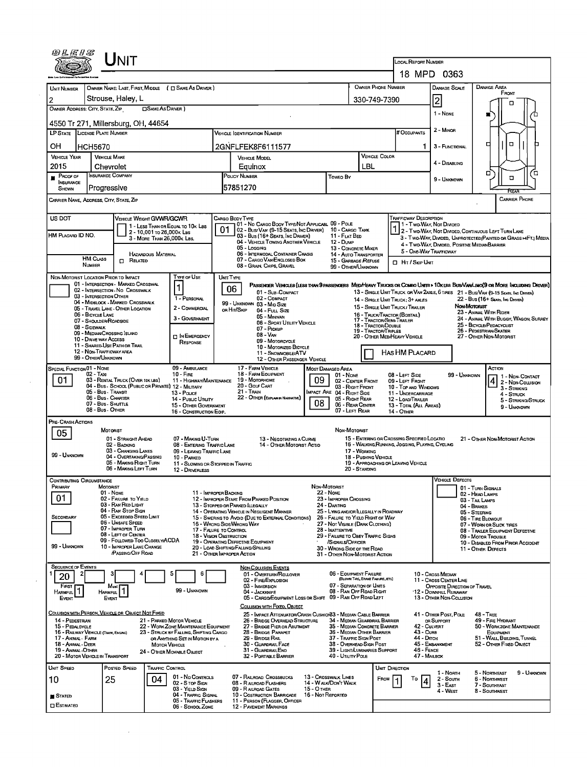|                                           |                                                | Jnit                                                                         |                            |                                                                          |                                      |                                                                                                           |                                                      |                                                                               |                                                              |                                                                                                                   |                                                        |                                                                                                                               |  |  |  |
|-------------------------------------------|------------------------------------------------|------------------------------------------------------------------------------|----------------------------|--------------------------------------------------------------------------|--------------------------------------|-----------------------------------------------------------------------------------------------------------|------------------------------------------------------|-------------------------------------------------------------------------------|--------------------------------------------------------------|-------------------------------------------------------------------------------------------------------------------|--------------------------------------------------------|-------------------------------------------------------------------------------------------------------------------------------|--|--|--|
|                                           |                                                |                                                                              |                            |                                                                          |                                      |                                                                                                           |                                                      |                                                                               |                                                              | LOCAL REPORT NUMBER                                                                                               | 18 MPD 0363                                            |                                                                                                                               |  |  |  |
|                                           |                                                |                                                                              |                            |                                                                          |                                      |                                                                                                           |                                                      |                                                                               |                                                              |                                                                                                                   |                                                        |                                                                                                                               |  |  |  |
| <b>UNIT NUMBER</b>                        |                                                | Strouse, Haley, L                                                            |                            | OWNER NAME: LAST, FIRST, MIDDLE ( C SAME AS DRIVER )                     |                                      | <b>OWNER PHONE NUMBER</b>                                                                                 |                                                      |                                                                               |                                                              |                                                                                                                   | DAMAGE SCALE                                           | <b>DAMAGE AREA</b><br>FRONT                                                                                                   |  |  |  |
| 2                                         | OWNER ADDRESS: CITY, STATE, ZIP                |                                                                              | <b>OSAME AS DRIVER</b>     |                                                                          |                                      |                                                                                                           |                                                      |                                                                               | 330-749-7390                                                 |                                                                                                                   | 2                                                      | о                                                                                                                             |  |  |  |
|                                           |                                                |                                                                              |                            |                                                                          |                                      |                                                                                                           |                                                      |                                                                               |                                                              |                                                                                                                   | 1 - None                                               |                                                                                                                               |  |  |  |
|                                           | <b>LP STATE LICENSE PLATE NUMBER</b>           | 4550 Tr 271, Millersburg, OH, 44654                                          |                            |                                                                          |                                      | <b>VEHICLE IDENTIFICATION NUMBER</b>                                                                      |                                                      |                                                                               |                                                              | # OccupANTS                                                                                                       | 2 - MINOR                                              |                                                                                                                               |  |  |  |
| OH                                        | <b>HCH5670</b>                                 |                                                                              |                            |                                                                          |                                      | 2GNFLFEK8F6111577                                                                                         |                                                      |                                                                               |                                                              |                                                                                                                   | 3 - FUNCTIONAL                                         | α<br>□                                                                                                                        |  |  |  |
| <b>VEHICLE YEAR</b>                       |                                                | <b>VEHICLE MAKE</b>                                                          |                            |                                                                          |                                      | <b>VEHICLE MODEL</b>                                                                                      |                                                      | <b>VEHICLE COLOR</b>                                                          |                                                              |                                                                                                                   |                                                        |                                                                                                                               |  |  |  |
| 2015                                      |                                                | Chevrolet                                                                    |                            |                                                                          |                                      | Equinox                                                                                                   |                                                      |                                                                               | LBL                                                          |                                                                                                                   | 4 - DISABLING                                          |                                                                                                                               |  |  |  |
| PROOF OF<br><b>INSURANCE</b>              |                                                | <b>INSURANCE COMPANY</b>                                                     |                            |                                                                          |                                      | POLICY NUMBER<br>Toweo By                                                                                 |                                                      |                                                                               |                                                              |                                                                                                                   | 9 - UNKNOWN                                            | ם ⁄<br>σ<br>$\Box$                                                                                                            |  |  |  |
| SHOWN                                     | Progressive                                    |                                                                              |                            |                                                                          |                                      | 57851270                                                                                                  |                                                      |                                                                               |                                                              |                                                                                                                   |                                                        | RFAR                                                                                                                          |  |  |  |
|                                           | CARRIER NAME, ADDRESS, CITY, STATE, ZIP        |                                                                              |                            |                                                                          |                                      |                                                                                                           |                                                      |                                                                               |                                                              |                                                                                                                   |                                                        | <b>CARRIER PHONE</b>                                                                                                          |  |  |  |
| US DOT                                    |                                                | <b>VEHICLE WEIGHT GVWR/GCWR</b>                                              |                            |                                                                          |                                      | CARGO BODY TYPE                                                                                           |                                                      |                                                                               |                                                              | <b>TRAFFICWAY DESCRIPTION</b>                                                                                     |                                                        |                                                                                                                               |  |  |  |
|                                           |                                                |                                                                              | 2 - 10,001 To 26,000K Lss  | 1 - LESS THAN OR EQUAL TO 10K LBS                                        | 01.                                  | 01 - No CARGO BOOY TYPE/NOT APPLICABL 09 - POLE<br>02 - Busi Van (9-15 Seats, Inc Driver) 10 - Cargo Tank |                                                      |                                                                               |                                                              |                                                                                                                   | 1 - Two-Way, Not Divided                               | 2 - Two-Way, Not Divided, Continuous Left Turn Lane                                                                           |  |  |  |
| HM PLACARD ID NO.                         |                                                |                                                                              | 3 - MORE THAN 26,000K LBS. |                                                                          |                                      | 03 - Bus (16+ Seats, Inc Driver)<br>04 - VEHICLE TOWING ANOTHER VEHICLE                                   |                                                      | 11 - FLAT BED<br>12 - Dump                                                    |                                                              | 3 - Two-Way, Divided, UNPROTECTED (PAINTED OR GRASS =4FT.) MEDIA<br>4 - Two-Way, Divided, Positive Median Barrier |                                                        |                                                                                                                               |  |  |  |
|                                           | <b>HM CLASS</b>                                |                                                                              | <b>HAZARDOUS MATERIAL</b>  |                                                                          |                                      | 05 - Logging<br>06 - INTERMODAL CONTAINER CHASIS                                                          |                                                      | 13 - CONCRETE MIXER<br>14 - AUTO TRANSPORTER                                  |                                                              |                                                                                                                   | 5 - ONE-WAY TRAFFICWAY                                 |                                                                                                                               |  |  |  |
|                                           | <b>NUMBER</b>                                  | $\Box$ Related                                                               |                            |                                                                          |                                      | 07 - CARGO VAN/ENGLOSED BOX<br>08 - GRAIN, CHIPS, GRAVEL                                                  |                                                      | 15 - GARBAGE REFUSE<br>99 - OTHER/UNKNOWN                                     |                                                              | <b>D</b> HIT / SKIP UNIT                                                                                          |                                                        |                                                                                                                               |  |  |  |
|                                           |                                                | NON-MOTORIST LOCATION PRIOR TO IMPACT<br>01 - INTERSECTION - MARKED CROSSWAL |                            | Tyre or Use                                                              | UNT TYPE                             |                                                                                                           |                                                      |                                                                               |                                                              |                                                                                                                   |                                                        | PASSENGER VEHICLES (LESS THAN 9 PASSENGERS MEDIMEANY TRUCKS OR COMBO UNITS > 10K LBS BUS/VAN/LIMO(9 OR MORE INCLUDING DRIVER) |  |  |  |
|                                           | 03 - INTERSECTION OTHER                        | 02 - INTERSECTION - NO CROSSWALK                                             |                            | $\vert$ 1                                                                |                                      | 06<br>01 - Sub-COMPACT                                                                                    |                                                      |                                                                               |                                                              |                                                                                                                   |                                                        | 13 - SINGLE UNIT TRUCK OR VAN 2AXLE, 6 TIRES 21 - BUSIVAN (9-15 SEATS, INC DRIVER)                                            |  |  |  |
|                                           |                                                | 04 - MIDBLOCK - MARKED CROSSWALK<br>05 - TRAVEL LANE - OTHER LOCATION        |                            | 1 - PERSONAL<br>2 - COMMERCIAL                                           |                                      | 02 - COMPACT<br>99 - UNKNOWN 03 - MID SIZE<br>on Hrt/Skip                                                 |                                                      |                                                                               |                                                              | 14 - SINGLE UNIT TRUCK: 3+ AXLES<br>15 - SINGLE UNIT TRUCK / TRAILER                                              |                                                        | 22 - Bus (16+ Seats, Inc Draver)<br>Non-Motorist                                                                              |  |  |  |
|                                           | 06 - BICYCLE LANE<br>07 - SHOULDER/ROADSIDE    |                                                                              |                            | 3 - Government                                                           |                                      | 04 - Futt Size<br>05 - Mintvan                                                                            |                                                      |                                                                               | 17 - Tractor/Semi-Trailer                                    | 23 - ANIMAL WITH RIDER<br>16 - TRUCK/TRACTOR (BOBTAIL)<br>24 - ANIMAL WITH BUGGY, WAGON, SURREY                   |                                                        |                                                                                                                               |  |  |  |
|                                           | 08 - SIDEWALK<br>09 - MEDIAN/CROSSING ISLAND   |                                                                              |                            |                                                                          |                                      | 06 - SPORT UTILITY VEHICLE<br>07 - Pickup<br>$08 - V_{AN}$                                                |                                                      |                                                                               | 18 - Tractor/Double<br>19 - Tractor/Triples                  | 25 - BICYCLE/PEDACYCLIST<br>26 - PEDESTRIAN/SKATER                                                                |                                                        |                                                                                                                               |  |  |  |
|                                           | 10 - DRIVE WAY ACCESS                          | 11 - Shared-Use Path or Trail                                                |                            | <b>T IN EMERGENCY</b><br>RESPONSE                                        |                                      | 09 - MOTORCYCLE<br>10 - MOTORIZED BICYCLE                                                                 |                                                      |                                                                               | 20 - OTHER MEDIHEAVY VEHICLE<br>27 - OTHER NON-MOTORIST      |                                                                                                                   |                                                        |                                                                                                                               |  |  |  |
|                                           | 12 - Non-Trafficway area<br>99 - OTHER/UNKNOWN |                                                                              |                            |                                                                          |                                      | 11 - SNOWMOBILE/ATV<br>12 - OTHER PASSENGER VEHICLE                                                       |                                                      |                                                                               |                                                              | HAS HM PLACARD                                                                                                    |                                                        |                                                                                                                               |  |  |  |
|                                           | SPECIAL FUNCTION 01 - NONE                     |                                                                              |                            | 09 - AMBULANCE                                                           |                                      | 17 - FARM VEHICLE                                                                                         |                                                      | MOST DAMAGED AREA                                                             |                                                              |                                                                                                                   |                                                        | ACTION                                                                                                                        |  |  |  |
| 01                                        | 02 - TAxi                                      | 03 - RENTAL TRUCK (OVER 10K LBS)                                             |                            | $10 -$ Fi $RE$<br>11 - HIGHWAY/MAINTENANCE                               |                                      | 18 - FARM EQUIPMENT<br>19 - Мотопноме                                                                     | 09                                                   | 01 - None<br>02 - CENTER FRONT                                                |                                                              | 08 - LEFT SIDE<br>09 - LEFT FRONT                                                                                 | 99 - UNKNOWN                                           | 1 - Non-Contact<br>4<br>2 - Non-Collision                                                                                     |  |  |  |
|                                           | 05 - Bus - Transit                             | 04 - Bus - SCHDOL (PUBLIC OR PRIVATE) 12 - MILITARY                          |                            | 13 - Pouce                                                               |                                      | 20 - Gour CART<br>21 - Train                                                                              |                                                      | 03 - RIGHT FRONT<br>IMPACT ARE 04 - RIGHT SIDE                                |                                                              | 10 - TOP AND WINDOWS<br>11 - UNDERCARRIAGE                                                                        |                                                        | 3 - STRIKING<br>4 - STRUCK                                                                                                    |  |  |  |
|                                           | 06 - Bus - Charter<br>07 - Bus - SHUTTLE       |                                                                              |                            | 14 - Pusuc Unury<br>15 - OTHER GOVERNMENT                                |                                      | 22 - OTHER (EXPLAN IN NARRATIVE)                                                                          | 08                                                   | 05 - Right Rear<br>06 - REAR CENTER                                           |                                                              | 12 - LOAD/TRAILER<br>13 - TOTAL (ALL AREAS)                                                                       |                                                        | 5 - STRIKING/STRUCK<br>9 - UNKNOWN                                                                                            |  |  |  |
| PRE-CRASH ACTIONS                         | 08 - Bus - OTHER                               |                                                                              |                            | 16 - CONSTRUCTION EOIP.                                                  |                                      |                                                                                                           |                                                      | 07 - LEFT REAR                                                                |                                                              | 14 - OTHER                                                                                                        |                                                        |                                                                                                                               |  |  |  |
| 05                                        |                                                | MOTORIST                                                                     |                            |                                                                          |                                      |                                                                                                           |                                                      | Non-Motorust                                                                  |                                                              |                                                                                                                   |                                                        |                                                                                                                               |  |  |  |
|                                           |                                                | 01 - STRAIGHT AHEAD<br>02 - BACKING                                          |                            | 07 - MAKING U-TURN<br>08 - ENTERING TRAFFIC LANE                         |                                      | 13 - NEGOTIATING A CURVE<br>14 - OTHER MOTORIST ACTIO                                                     |                                                      |                                                                               |                                                              | 15 - ENTERING OR CROSSING SPECIFIED LOCATIO<br>16 - WALKING, RUNNING, JOGGING, PLAYING, CYCLING                   |                                                        | 21 - OTHER NDN-MOTORIST ACTION                                                                                                |  |  |  |
| 99 - UNKNOWN                              |                                                | 03 - CHANGING LANES<br>04 - OVERTAKING/PASSING                               |                            | 09 - LEAVING TRAFFIC LANE<br>10 - PARKED                                 | 17 - WORKING<br>18 - Pushing Vehicle |                                                                                                           |                                                      |                                                                               |                                                              |                                                                                                                   |                                                        |                                                                                                                               |  |  |  |
|                                           |                                                | 05 - MAKING RIGHT TURN<br>06 - MAKING LEFT TURN                              |                            | 11 - Slowing or Stopped in Traffic<br>12 - DRIVERLESS                    |                                      |                                                                                                           |                                                      | 20 - STANDING                                                                 | 19 - APPROACHING OR LEAVING VEHICLE                          |                                                                                                                   |                                                        |                                                                                                                               |  |  |  |
|                                           | CONTRIBUTING CIRCUMSTANCE                      |                                                                              |                            |                                                                          |                                      |                                                                                                           |                                                      |                                                                               |                                                              |                                                                                                                   | Vehicle Defects                                        |                                                                                                                               |  |  |  |
| PRIMARY                                   |                                                | MOTORIST<br>01 - NONE                                                        |                            |                                                                          | 11 - IMPROPER BACKING                |                                                                                                           |                                                      | NON-MOTORIST<br><b>22 - NONE</b>                                              |                                                              |                                                                                                                   |                                                        | 01 - TURN SIGNALS<br>02 - HEAD LAMPS                                                                                          |  |  |  |
| 01                                        |                                                | 02 - FAILURE TO YIELD<br>03 - RAN RED LIGHT                                  |                            |                                                                          |                                      | 12 - IMPROPER START FROM PARKED POSITION<br>13 - Stopped or Parked LLEGALLY                               |                                                      | 23 - IMPROPER CROSSING<br>24 - DARTING                                        |                                                              |                                                                                                                   |                                                        | 03 - TAIL LAMPS<br>04 - BRAKES                                                                                                |  |  |  |
| SECONDARY                                 |                                                | 04 - RAN STOP SIGN<br>05 - Exceeded Speed Limit                              |                            |                                                                          |                                      | 14 - OPERATING VEHICLE IN NEGLIGENT MANNER<br>15 - SWERING TO AVOID (DUE TO EXTERNAL CONDITIONS)          | 26 - FALURE TO YIELD RIGHT OF WAY                    | 25 - LYING AND/OR ILLEGALLY IN ROADWAY                                        | 05 - STEERING<br>06 - TIRE BLOWOUT                           |                                                                                                                   |                                                        |                                                                                                                               |  |  |  |
|                                           |                                                | 06 - Unsafe Speed<br>07 - IMPROPER TURN                                      |                            |                                                                          | 17 - FALURE TO CONTROL               | 16 - WRONG SIDE/WRONG WAY                                                                                 | 27 - NOT VISIBLE (DARK CLOTHING)<br>28 - INATTENTIVE |                                                                               | 07 - WORN OR SLICK TIRES<br>08 - TRAILER EQUIPMENT DEFECTIVE |                                                                                                                   |                                                        |                                                                                                                               |  |  |  |
| 99 - UNKNOWN                              |                                                | 08 - LEFT OF CENTER<br>09 - FOLLOWED TOO CLOSELY/ACDA                        |                            |                                                                          | 18 - VISION OBSTRUCTION              | 19 - OPERATING DEFECTIVE EQUIPMENT                                                                        |                                                      | 29 - FAILURE TO OBEY TRAFFIC SIGNS<br>/SIGNALS/OFFICER                        | 09 - MOTOR TROUBLE<br>10 - DISABLED FROM PRIOR ACCIDENT      |                                                                                                                   |                                                        |                                                                                                                               |  |  |  |
|                                           |                                                | 10 - IMPROPER LANE CHANGE<br>PASSING OFF ROAD                                |                            |                                                                          |                                      | 20 - LOAD SHIFTING/FALLING/SPILLING<br>21 - OTHER IMPROPER ACTION                                         |                                                      | 30 - WRONG SIDE OF THE ROAD<br>31 - OTHER NON-MOTORIST ACTION                 |                                                              |                                                                                                                   |                                                        | 11 - OTHER DEFECTS                                                                                                            |  |  |  |
| <b>SEQUENCE OF EVENTS</b>                 |                                                |                                                                              |                            |                                                                          |                                      | <b>NON-COLLISION EVENTS</b>                                                                               |                                                      |                                                                               |                                                              |                                                                                                                   |                                                        |                                                                                                                               |  |  |  |
| 20                                        |                                                |                                                                              |                            |                                                                          |                                      | 01 - Overturn/Rollover<br>02 - FIRE/EXPLOSION                                                             |                                                      | 06 - EQUIPMENT FAILURE                                                        | (BLOWN TIRE, BRAKE FAILURE, ETC)                             |                                                                                                                   | 10 - Cross Median<br>11 - CROSS CENTER LINE            |                                                                                                                               |  |  |  |
| FIRST<br>HARMFUL <sup>1</sup>             |                                                | Most<br><b>HARMFUL</b>                                                       |                            | 99 - UNKNOWN                                                             |                                      | 03 - IMMERSION<br>04 - JACKKNIFE                                                                          |                                                      | 07 - SEPARATION OF UNITS<br>08 - RAN OFF ROAD RIGHT                           |                                                              |                                                                                                                   | OPPOSITE DIRECTION OF TRAVEL<br>'12 - Downhill Runaway |                                                                                                                               |  |  |  |
| EVENT                                     |                                                | EVENT                                                                        |                            |                                                                          |                                      | 05 - CARGO/EQUIPMENT LOSS OR SHIFT 09 - RAN OFF ROAD LEFT<br>COLLISION WITH FIXED, OBJECT                 |                                                      |                                                                               |                                                              |                                                                                                                   | 13 - OTHER NON-COLLISION                               |                                                                                                                               |  |  |  |
|                                           |                                                | COLLISION WITH PERSON, VEHICLE OR OBJECT NOT FIXED                           |                            |                                                                          |                                      | 25 - IMPACT ATTENUATOR/CRASH CUSHION33 - MEDIAN CABLE BARRIER                                             |                                                      |                                                                               |                                                              |                                                                                                                   | 41 - OTHER POST, POLE                                  | 48 - TREE                                                                                                                     |  |  |  |
| 14 - PEDESTRIAN<br>15 - PEDALCYCLE        |                                                |                                                                              |                            | 21 - PARKED MOTOR VEHICLE<br>22 - WORK ZONE MAINTENANCE EQUIPMENT        |                                      | 26 - BRIDGE OVERHEAD STRUCTURE<br>27 - BRIDGE PIER OR ABUTMENT                                            |                                                      | 34 - MEDIAN GUARDRAIL BARRIER<br>35 - MEDIAN CONCRETE BARRIER                 |                                                              |                                                                                                                   | OR SUPPORT<br>42 - CULVERT                             | 49 - FIRE HYDRANT<br>50 - WORK ZONE MAINTENANCE                                                                               |  |  |  |
| 17 - Animal - Farm                        | 16 - RAILWAY VEHICLE (TRAIN, ENGINE)           |                                                                              |                            | 23 - STRUCK BY FALLING, SHIFTING CARGO<br>OR ANYTHING SET IN MOTION BY A |                                      | 28 - BRIDGE PARAPET<br>29 - BRIDGE RAIL                                                                   |                                                      | 36 - MEDIAN OTHER BARRIER<br>37 - TRAFFIC SIGN POST                           |                                                              | 43 - Cunn<br>44 - Олсн                                                                                            | 45 - EMBANKMENT                                        | EQUIPMENT<br>51 - WALL BUILDING, TUNNEL<br>52 - OTHER FIXED OBJECT                                                            |  |  |  |
| 18 - Animal - Deer<br>19 - Animal - Other | 20 - MOTOR VEHICLE IN TRANSPORT                |                                                                              | <b>MOTOR VEHICLE</b>       | 24 - OTHER MOVABLE OBJECT                                                |                                      | 30 - GUARDRAIL FACE<br>31 - GUARDRAILEND<br>32 - PORTABLE BARRIER                                         |                                                      | 38 - Overhead Sign Post<br>39 - LIGHT/LUMINARIES SUPPORT<br>40 - UTILITY POLE |                                                              | 46 - FENCE                                                                                                        | 47 - MAILBOX                                           |                                                                                                                               |  |  |  |
| UNIT SPEED                                |                                                | Posted Speed                                                                 | <b>TRAFFIC CONTROL</b>     |                                                                          |                                      |                                                                                                           |                                                      |                                                                               |                                                              | UNIT DIRECTION                                                                                                    |                                                        |                                                                                                                               |  |  |  |
| 10                                        |                                                | 25                                                                           | 04                         | 01 - No Controls                                                         |                                      | 07 - RAILROAD CROSSBUCKS                                                                                  |                                                      | 13 - Crosswalk Lines                                                          | From                                                         | To                                                                                                                | 1 - North<br>2 - South                                 | 5 - NORTHEAST<br>9 - UNKNOWN<br>6 - Northwest                                                                                 |  |  |  |
|                                           |                                                |                                                                              |                            | 02 - S TOP SIGN<br>03 - YIELD SIGN                                       |                                      | 08 - RAILROAD FLASHERS<br>09 - R ALROAD GATES                                                             | <b>15 - O THER</b>                                   | 14 - WALK/DON'T WALK                                                          |                                                              | 4                                                                                                                 | 3 - East<br>4 - WEST                                   | 7 - SOUTHEAST<br>8 - Southwest                                                                                                |  |  |  |
| STATED<br><b>ESTIMATED</b>                |                                                |                                                                              |                            | 04 - Traffic Signal<br>05 - Traffic Flashers                             |                                      | 10 - Costruction Barricade<br>11 - PERSON (FLAGGER, OFFICER                                               | 16 - Not Reported                                    |                                                                               |                                                              |                                                                                                                   |                                                        |                                                                                                                               |  |  |  |
|                                           |                                                |                                                                              |                            | 06 - SCHOOL ZONE                                                         |                                      | <b>12 - PAVEMENT MARKINGS</b>                                                                             |                                                      |                                                                               |                                                              |                                                                                                                   |                                                        |                                                                                                                               |  |  |  |

 $\mathcal{L}^{\text{max}}_{\text{max}}$  , where  $\mathcal{L}^{\text{max}}_{\text{max}}$